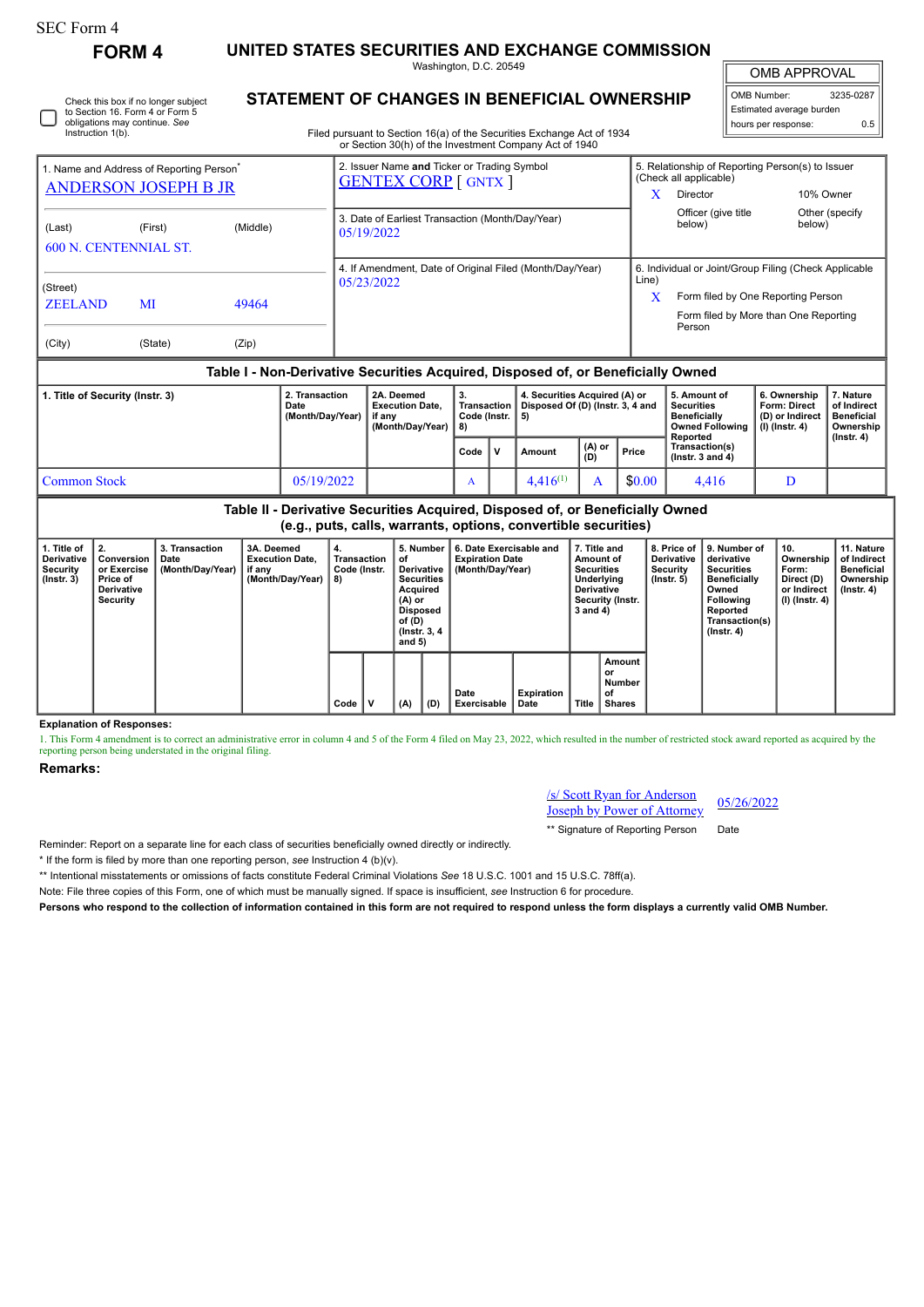| SEC Form 4 |  |
|------------|--|
|------------|--|

**FORM 4 UNITED STATES SECURITIES AND EXCHANGE COMMISSION**

Washington, D.C. 20549

Check this box if no longer subject to Section 16. Form 4 or Form 5 obligations may continue. *See* Instruction 1(b).

## **STATEMENT OF CHANGES IN BENEFICIAL OWNERSHIP**

Filed pursuant to Section 16(a) of the Securities Exchange Act of 1934 or Section 30(h) of the Investment Company Act of 1940

## OMB APPROVAL

OMB Number: 3235-0287 Estimated average burden hours per response: 0.5

| 1. Name and Address of Reporting Person <sup>®</sup><br><b>ANDERSON JOSEPH B JR</b>        |         |          | 2. Issuer Name and Ticker or Trading Symbol<br><b>GENTEX CORP</b> [ GNTX ] | x          | 5. Relationship of Reporting Person(s) to Issuer<br>(Check all applicable)<br>Director                                                         | 10% Owner                |  |  |  |  |
|--------------------------------------------------------------------------------------------|---------|----------|----------------------------------------------------------------------------|------------|------------------------------------------------------------------------------------------------------------------------------------------------|--------------------------|--|--|--|--|
| (Last)<br><b>600 N. CENTENNIAL ST.</b>                                                     | (First) | (Middle) | 3. Date of Earliest Transaction (Month/Day/Year)<br>05/19/2022             |            | Officer (give title<br>below)                                                                                                                  | Other (specify<br>below) |  |  |  |  |
| (Street)<br><b>ZEELAND</b><br>MI<br>49464<br>(State)                                       |         | (Zip)    | 4. If Amendment, Date of Original Filed (Month/Day/Year)<br>05/23/2022     | Line)<br>X | 6. Individual or Joint/Group Filing (Check Applicable<br>Form filed by One Reporting Person<br>Form filed by More than One Reporting<br>Person |                          |  |  |  |  |
| (City)<br>Table I - Non-Derivative Securities Acquired, Disposed of, or Beneficially Owned |         |          |                                                                            |            |                                                                                                                                                |                          |  |  |  |  |

| 1. Title of Security (Instr. 3) | 2. Transaction<br>Date<br>(Month/Dav/Year) | 2A. Deemed<br><b>Execution Date.</b><br>if anv<br>(Month/Dav/Year) | 3.<br>∟Transaction I<br>Code (Instr. $\vert$ 5)<br>l 8) |             | 4. Securities Acquired (A) or<br>Disposed Of (D) (Instr. 3, 4 and |                         |        | 5. Amount of<br><b>Securities</b><br><b>Beneficially</b><br>Owned Following<br>Reported | 6. Ownership<br><b>Form: Direct</b><br>(D) or Indirect<br>$(l)$ (lnstr. 4) | . Nature<br>of Indirect<br><b>Beneficial</b><br>Ownership<br>$($ lnstr. 4 $)$ |
|---------------------------------|--------------------------------------------|--------------------------------------------------------------------|---------------------------------------------------------|-------------|-------------------------------------------------------------------|-------------------------|--------|-----------------------------------------------------------------------------------------|----------------------------------------------------------------------------|-------------------------------------------------------------------------------|
|                                 |                                            |                                                                    | Code                                                    | $\mathbf v$ | Amount                                                            | $(A)$ or $\vert$<br>(D) | Price  | Transaction(s)<br>( $lnstr. 3 and 4$ )                                                  |                                                                            |                                                                               |
| Common Stock                    | 05/19/2022                                 |                                                                    | A                                                       |             | $4.416^{(1)}$                                                     |                         | \$0.00 | 4.416                                                                                   |                                                                            |                                                                               |

**Table II - Derivative Securities Acquired, Disposed of, or Beneficially Owned (e.g., puts, calls, warrants, options, convertible securities)**

| 1. Title of<br><b>Derivative</b><br>Security<br>$($ lnstr. 3 $)$ | 2.<br>Conversion<br>or Exercise<br>Price of<br>Derivative<br>Security | 3. Transaction<br>Date<br>(Month/Day/Year) | 3A. Deemed<br><b>Execution Date.</b><br>if any<br>(Month/Day/Year) | 4.<br>Transaction<br>Code (Instr.<br>8) |   | 5. Number<br>οf<br>Derivative  <br><b>Securities</b><br>Acquired<br>(A) or<br><b>Disposed</b><br>of (D)<br>(Instr. 3, 4)<br>and $5)$<br>(D)<br>(A) |  | 6. Date Exercisable and<br><b>Expiration Date</b><br>(Month/Day/Year) | 7. Title and<br>Amount of<br><b>Securities</b><br>Underlying<br>Derivative<br>Security (Instr.<br>3 and 4) |       | 8. Price of<br><b>Derivative</b><br>Security<br>(Instr. 5) | Ⅰ9. Number of<br>derivative<br><b>Securities</b><br><b>Beneficially</b><br>Owned<br>Following<br>Reported<br>Transaction(s)<br>$($ lnstr. 4 $)$ | 10.<br>Ownership<br>Form:<br>Direct (D)<br>or Indirect<br>(I) (Instr. 4) | 11. Nature<br>of Indirect<br><b>Beneficial</b><br>Ownership<br>(Instr. 4) |
|------------------------------------------------------------------|-----------------------------------------------------------------------|--------------------------------------------|--------------------------------------------------------------------|-----------------------------------------|---|----------------------------------------------------------------------------------------------------------------------------------------------------|--|-----------------------------------------------------------------------|------------------------------------------------------------------------------------------------------------|-------|------------------------------------------------------------|-------------------------------------------------------------------------------------------------------------------------------------------------|--------------------------------------------------------------------------|---------------------------------------------------------------------------|
|                                                                  |                                                                       |                                            |                                                                    | Code                                    | v |                                                                                                                                                    |  | Date<br>Exercisable                                                   | Expiration<br>Date                                                                                         | Title | Amount<br>or<br>Number<br>οf<br><b>Shares</b>              |                                                                                                                                                 |                                                                          |                                                                           |

**Explanation of Responses:**

1. This Form 4 amendment is to correct an administrative error in column 4 and 5 of the Form 4 filed on May 23, 2022, which resulted in the number of restricted stock award reported as acquired by the reporting person being understated in the original filing.

## **Remarks:**

/s/ Scott Ryan for Anderson **Joseph by Power of Attorney** 05/26/2022

\*\* Signature of Reporting Person Date

Reminder: Report on a separate line for each class of securities beneficially owned directly or indirectly.

\* If the form is filed by more than one reporting person, *see* Instruction 4 (b)(v).

\*\* Intentional misstatements or omissions of facts constitute Federal Criminal Violations *See* 18 U.S.C. 1001 and 15 U.S.C. 78ff(a).

Note: File three copies of this Form, one of which must be manually signed. If space is insufficient, *see* Instruction 6 for procedure.

**Persons who respond to the collection of information contained in this form are not required to respond unless the form displays a currently valid OMB Number.**